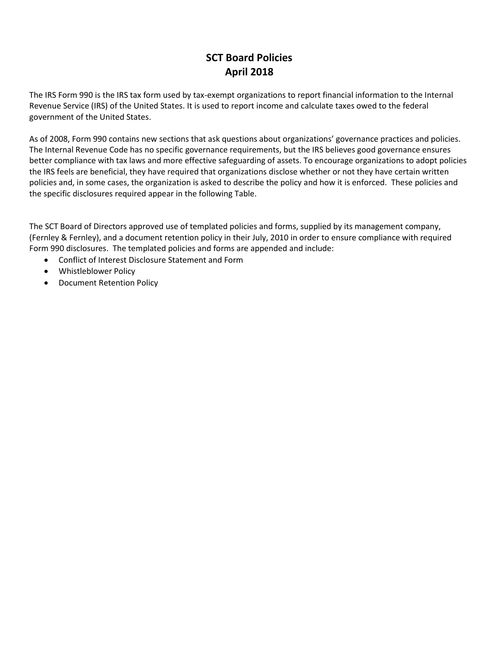## **SCT Board Policies April 2018**

The IRS Form 990 is the IRS tax form used by tax-exempt organizations to report financial information to the Internal Revenue Service (IRS) of the United States. It is used to report income and calculate taxes owed to the federal government of the United States.

As of 2008, Form 990 contains new sections that ask questions about organizations' governance practices and policies. The Internal Revenue Code has no specific governance requirements, but the IRS believes good governance ensures better compliance with tax laws and more effective safeguarding of assets. To encourage organizations to adopt policies the IRS feels are beneficial, they have required that organizations disclose whether or not they have certain written policies and, in some cases, the organization is asked to describe the policy and how it is enforced. These policies and the specific disclosures required appear in the following Table.

The SCT Board of Directors approved use of templated policies and forms, supplied by its management company, (Fernley & Fernley), and a document retention policy in their July, 2010 in order to ensure compliance with required Form 990 disclosures. The templated policies and forms are appended and include:

- Conflict of Interest Disclosure Statement and Form
- Whistleblower Policy
- Document Retention Policy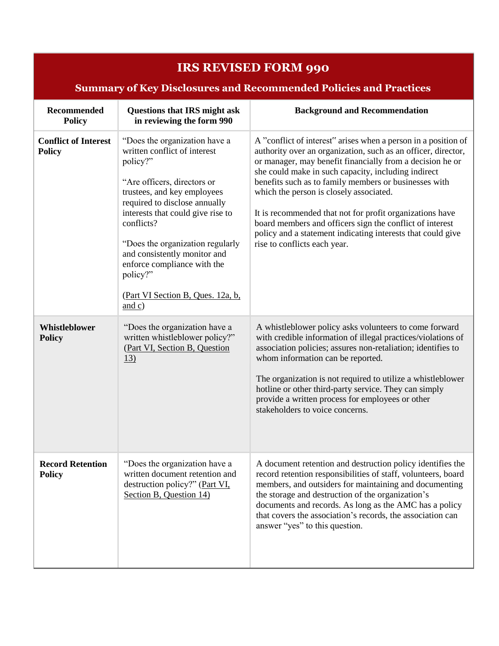| <b>IRS REVISED FORM 990</b>                                              |                                                                                                                                                                                                                                                                                                                                                                                           |                                                                                                                                                                                                                                                                                                                                                                                                                                                                                                                                                                                |  |
|--------------------------------------------------------------------------|-------------------------------------------------------------------------------------------------------------------------------------------------------------------------------------------------------------------------------------------------------------------------------------------------------------------------------------------------------------------------------------------|--------------------------------------------------------------------------------------------------------------------------------------------------------------------------------------------------------------------------------------------------------------------------------------------------------------------------------------------------------------------------------------------------------------------------------------------------------------------------------------------------------------------------------------------------------------------------------|--|
| <b>Summary of Key Disclosures and Recommended Policies and Practices</b> |                                                                                                                                                                                                                                                                                                                                                                                           |                                                                                                                                                                                                                                                                                                                                                                                                                                                                                                                                                                                |  |
| <b>Recommended</b><br><b>Policy</b>                                      | <b>Questions that IRS might ask</b><br>in reviewing the form 990                                                                                                                                                                                                                                                                                                                          | <b>Background and Recommendation</b>                                                                                                                                                                                                                                                                                                                                                                                                                                                                                                                                           |  |
| <b>Conflict of Interest</b><br><b>Policy</b>                             | "Does the organization have a<br>written conflict of interest<br>policy?"<br>"Are officers, directors or<br>trustees, and key employees<br>required to disclose annually<br>interests that could give rise to<br>conflicts?<br>"Does the organization regularly<br>and consistently monitor and<br>enforce compliance with the<br>policy?"<br>(Part VI Section B, Ques. 12a, b,<br>and c) | A "conflict of interest" arises when a person in a position of<br>authority over an organization, such as an officer, director,<br>or manager, may benefit financially from a decision he or<br>she could make in such capacity, including indirect<br>benefits such as to family members or businesses with<br>which the person is closely associated.<br>It is recommended that not for profit organizations have<br>board members and officers sign the conflict of interest<br>policy and a statement indicating interests that could give<br>rise to conflicts each year. |  |
| <b>Whistleblower</b><br><b>Policy</b>                                    | "Does the organization have a<br>written whistleblower policy?"<br>(Part VI, Section B, Question<br>13)                                                                                                                                                                                                                                                                                   | A whistleblower policy asks volunteers to come forward<br>with credible information of illegal practices/violations of<br>association policies; assures non-retaliation; identifies to<br>whom information can be reported.<br>The organization is not required to utilize a whistleblower<br>hotline or other third-party service. They can simply<br>provide a written process for employees or other<br>stakeholders to voice concerns.                                                                                                                                     |  |
| <b>Record Retention</b><br><b>Policy</b>                                 | "Does the organization have a<br>written document retention and<br>destruction policy?" (Part VI,<br>Section B, Question 14)                                                                                                                                                                                                                                                              | A document retention and destruction policy identifies the<br>record retention responsibilities of staff, volunteers, board<br>members, and outsiders for maintaining and documenting<br>the storage and destruction of the organization's<br>documents and records. As long as the AMC has a policy<br>that covers the association's records, the association can<br>answer "yes" to this question.                                                                                                                                                                           |  |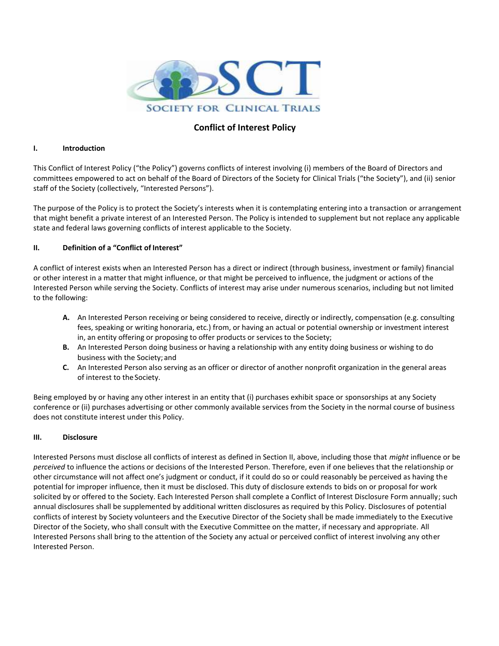

### **Conflict of Interest Policy**

#### **I. Introduction**

This Conflict of Interest Policy ("the Policy") governs conflicts of interest involving (i) members of the Board of Directors and committees empowered to act on behalf of the Board of Directors of the Society for Clinical Trials ("the Society"), and (ii) senior staff of the Society (collectively, "Interested Persons").

The purpose of the Policy is to protect the Society's interests when it is contemplating entering into a transaction or arrangement that might benefit a private interest of an Interested Person. The Policy is intended to supplement but not replace any applicable state and federal laws governing conflicts of interest applicable to the Society.

#### **II. Definition of a "Conflict of Interest"**

A conflict of interest exists when an Interested Person has a direct or indirect (through business, investment or family) financial or other interest in a matter that might influence, or that might be perceived to influence, the judgment or actions of the Interested Person while serving the Society. Conflicts of interest may arise under numerous scenarios, including but not limited to the following:

- **A.** An Interested Person receiving or being considered to receive, directly or indirectly, compensation (e.g. consulting fees, speaking or writing honoraria, etc.) from, or having an actual or potential ownership or investment interest in, an entity offering or proposing to offer products or services to the Society;
- **B.** An Interested Person doing business or having a relationship with any entity doing business or wishing to do business with the Society; and
- **C.** An Interested Person also serving as an officer or director of another nonprofit organization in the general areas of interest to the Society.

Being employed by or having any other interest in an entity that (i) purchases exhibit space or sponsorships at any Society conference or (ii) purchases advertising or other commonly available services from the Society in the normal course of business does not constitute interest under this Policy.

#### **III. Disclosure**

Interested Persons must disclose all conflicts of interest as defined in Section II, above, including those that *might* influence or be *perceived* to influence the actions or decisions of the Interested Person. Therefore, even if one believes that the relationship or other circumstance will not affect one's judgment or conduct, if it could do so or could reasonably be perceived as having the potential for improper influence, then it must be disclosed. This duty of disclosure extends to bids on or proposal for work solicited by or offered to the Society. Each Interested Person shall complete a Conflict of Interest Disclosure Form annually; such annual disclosures shall be supplemented by additional written disclosures as required by this Policy. Disclosures of potential conflicts of interest by Society volunteers and the Executive Director of the Society shall be made immediately to the Executive Director of the Society, who shall consult with the Executive Committee on the matter, if necessary and appropriate. All Interested Persons shall bring to the attention of the Society any actual or perceived conflict of interest involving any other Interested Person.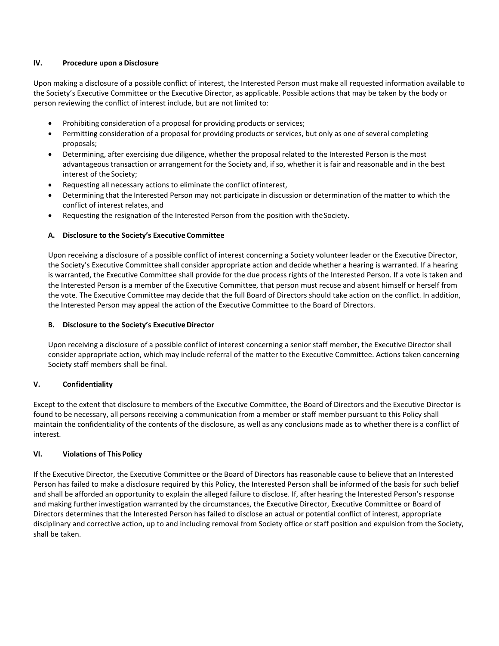#### **IV. Procedure upon a Disclosure**

Upon making a disclosure of a possible conflict of interest, the Interested Person must make all requested information available to the Society's Executive Committee or the Executive Director, as applicable. Possible actions that may be taken by the body or person reviewing the conflict of interest include, but are not limited to:

- Prohibiting consideration of a proposal for providing products or services;
- Permitting consideration of a proposal for providing products or services, but only as one of several completing proposals;
- Determining, after exercising due diligence, whether the proposal related to the Interested Person is the most advantageous transaction or arrangement for the Society and, if so, whether it is fair and reasonable and in the best interest of the Society;
- Requesting all necessary actions to eliminate the conflict ofinterest,
- Determining that the Interested Person may not participate in discussion or determination of the matter to which the conflict of interest relates, and
- Requesting the resignation of the Interested Person from the position with theSociety.

#### **A. Disclosure to the Society's Executive Committee**

Upon receiving a disclosure of a possible conflict of interest concerning a Society volunteer leader or the Executive Director, the Society's Executive Committee shall consider appropriate action and decide whether a hearing is warranted. If a hearing is warranted, the Executive Committee shall provide for the due process rights of the Interested Person. If a vote is taken and the Interested Person is a member of the Executive Committee, that person must recuse and absent himself or herself from the vote. The Executive Committee may decide that the full Board of Directors should take action on the conflict. In addition, the Interested Person may appeal the action of the Executive Committee to the Board of Directors.

#### **B. Disclosure to the Society's ExecutiveDirector**

Upon receiving a disclosure of a possible conflict of interest concerning a senior staff member, the Executive Director shall consider appropriate action, which may include referral of the matter to the Executive Committee. Actions taken concerning Society staff members shall be final.

#### **V. Confidentiality**

Except to the extent that disclosure to members of the Executive Committee, the Board of Directors and the Executive Director is found to be necessary, all persons receiving a communication from a member or staff member pursuant to this Policy shall maintain the confidentiality of the contents of the disclosure, as well as any conclusions made as to whether there is a conflict of interest.

#### **VI. Violations of This Policy**

If the Executive Director, the Executive Committee or the Board of Directors has reasonable cause to believe that an Interested Person has failed to make a disclosure required by this Policy, the Interested Person shall be informed of the basis for such belief and shall be afforded an opportunity to explain the alleged failure to disclose. If, after hearing the Interested Person's response and making further investigation warranted by the circumstances, the Executive Director, Executive Committee or Board of Directors determines that the Interested Person has failed to disclose an actual or potential conflict of interest, appropriate disciplinary and corrective action, up to and including removal from Society office or staff position and expulsion from the Society, shall be taken.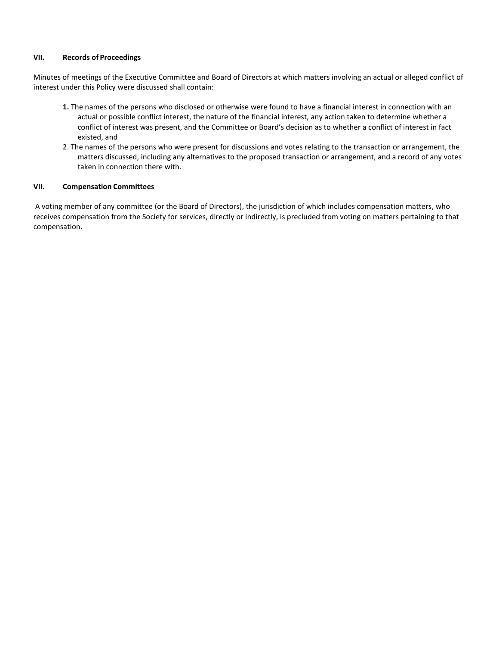#### **VII. Records of Proceedings**

Minutes of meetings of the Executive Committee and Board of Directors at which matters involving an actual or alleged conflict of interest under this Policy were discussed shall contain:

- **1.** The names of the persons who disclosed or otherwise were found to have a financial interest in connection with an actual or possible conflict interest, the nature of the financial interest, any action taken to determine whether a conflict of interest was present, and the Committee or Board's decision as to whether a conflict of interest in fact existed, and
- 2. The names of the persons who were present for discussions and votes relating to the transaction or arrangement, the matters discussed, including any alternatives to the proposed transaction or arrangement, and a record of any votes taken in connection there with.

#### **VII. Compensation Committees**

A voting member of any committee (or the Board of Directors), the jurisdiction of which includes compensation matters, who receives compensation from the Society for services, directly or indirectly, is precluded from voting on matters pertaining to that compensation.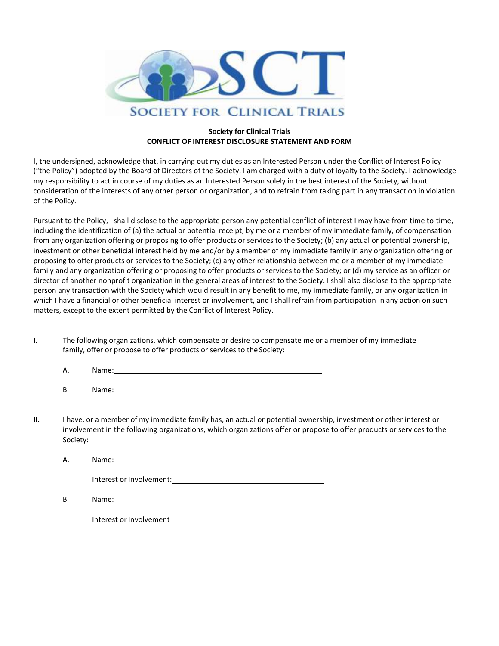

#### **Society for Clinical Trials CONFLICT OF INTEREST DISCLOSURE STATEMENT AND FORM**

I, the undersigned, acknowledge that, in carrying out my duties as an Interested Person under the Conflict of Interest Policy ("the Policy") adopted by the Board of Directors of the Society, I am charged with a duty of loyalty to the Society. I acknowledge my responsibility to act in course of my duties as an Interested Person solely in the best interest of the Society, without consideration of the interests of any other person or organization, and to refrain from taking part in any transaction in violation of the Policy.

Pursuant to the Policy, I shall disclose to the appropriate person any potential conflict of interest I may have from time to time, including the identification of (a) the actual or potential receipt, by me or a member of my immediate family, of compensation from any organization offering or proposing to offer products or services to the Society; (b) any actual or potential ownership, investment or other beneficial interest held by me and/or by a member of my immediate family in any organization offering or proposing to offer products or services to the Society; (c) any other relationship between me or a member of my immediate family and any organization offering or proposing to offer products or services to the Society; or (d) my service as an officer or director of another nonprofit organization in the general areas of interest to the Society. I shall also disclose to the appropriate person any transaction with the Society which would result in any benefit to me, my immediate family, or any organization in which I have a financial or other beneficial interest or involvement, and I shall refrain from participation in any action on such matters, except to the extent permitted by the Conflict of Interest Policy.

**I.** The following organizations, which compensate or desire to compensate me or a member of my immediate family, offer or propose to offer products or services to the Society:

| А. | $-$<br>Name.<br>. |  |
|----|-------------------|--|
|    |                   |  |

B. Name:

**II.** I have, or a member of my immediate family has, an actual or potential ownership, investment or other interest or involvement in the following organizations, which organizations offer or propose to offer products or services to the Society:

| Α. | Name:                    |
|----|--------------------------|
|    | Interest or Involvement: |
| В. | Name:                    |

Interest orInvolvement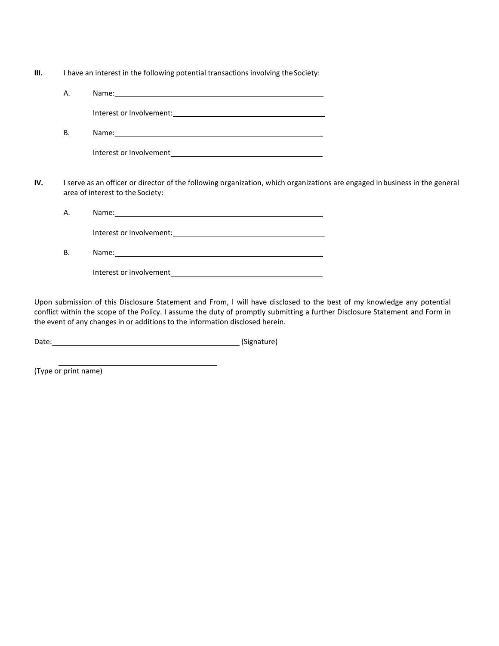| Ш. | I have an interest in the following potential transactions involving the Society: |  |  |
|----|-----------------------------------------------------------------------------------|--|--|
|    |                                                                                   |  |  |

| А. | Name:                    |
|----|--------------------------|
|    | Interest or Involvement: |
| B. | Name:                    |

| Interest or Involvement |  |
|-------------------------|--|
|                         |  |

**IV.** I serve as an officer or director of the following organization, which organizations are engaged in business in the general area of interest to the Society:

A. Name: 1990 Name: 1990 Name: 1990 Name: 1990 Name: 1990 Name: 1990 Name: 1990 Name: 1990 Name: 1990 Name: 1990 Name: 1990 Name: 1990 Name: 1990 Name: 1990 Name: 1990 Name: 1990 Name: 1990 Name: 1990 Name: 1990 Name: 1990

Interest orInvolvement:

B. Name:

Interest orInvolvement

Upon submission of this Disclosure Statement and From, I will have disclosed to the best of my knowledge any potential conflict within the scope of the Policy. I assume the duty of promptly submitting a further Disclosure Statement and Form in the event of any changes in or additions to the information disclosed herein.

Date: (Signature)

(Type or print name)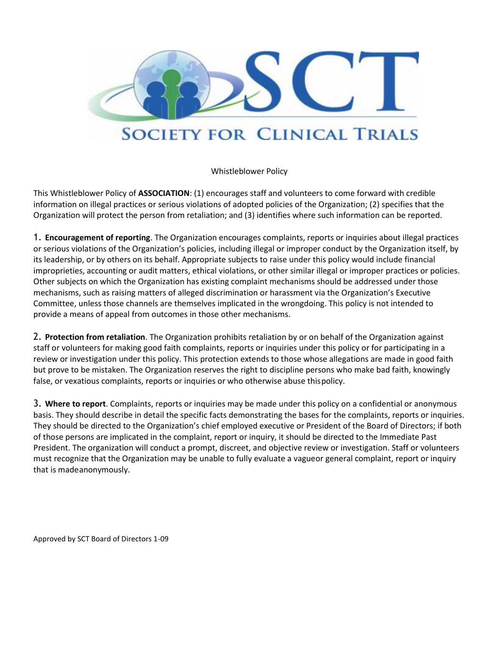

Whistleblower Policy

This Whistleblower Policy of **ASSOCIATION**: (1) encourages staff and volunteers to come forward with credible information on illegal practices or serious violations of adopted policies of the Organization; (2) specifies that the Organization will protect the person from retaliation; and (3) identifies where such information can be reported.

1. **Encouragement of reporting**. The Organization encourages complaints, reports or inquiries about illegal practices or serious violations of the Organization's policies, including illegal or improper conduct by the Organization itself, by its leadership, or by others on its behalf. Appropriate subjects to raise under this policy would include financial improprieties, accounting or audit matters, ethical violations, or other similar illegal or improper practices or policies. Other subjects on which the Organization has existing complaint mechanisms should be addressed under those mechanisms, such as raising matters of alleged discrimination or harassment via the Organization's Executive Committee, unless those channels are themselves implicated in the wrongdoing. This policy is not intended to provide a means of appeal from outcomes in those other mechanisms.

2. **Protection from retaliation**. The Organization prohibits retaliation by or on behalf of the Organization against staff or volunteers for making good faith complaints, reports or inquiries under this policy or for participating in a review or investigation under this policy. This protection extends to those whose allegations are made in good faith but prove to be mistaken. The Organization reserves the right to discipline persons who make bad faith, knowingly false, or vexatious complaints, reports or inquiries or who otherwise abuse thispolicy.

3. **Where to report**. Complaints, reports or inquiries may be made under this policy on a confidential or anonymous basis. They should describe in detail the specific facts demonstrating the bases for the complaints, reports or inquiries. They should be directed to the Organization's chief employed executive or President of the Board of Directors; if both of those persons are implicated in the complaint, report or inquiry, it should be directed to the Immediate Past President. The organization will conduct a prompt, discreet, and objective review or investigation. Staff or volunteers must recognize that the Organization may be unable to fully evaluate a vagueor general complaint, report or inquiry that is madeanonymously.

Approved by SCT Board of Directors 1-09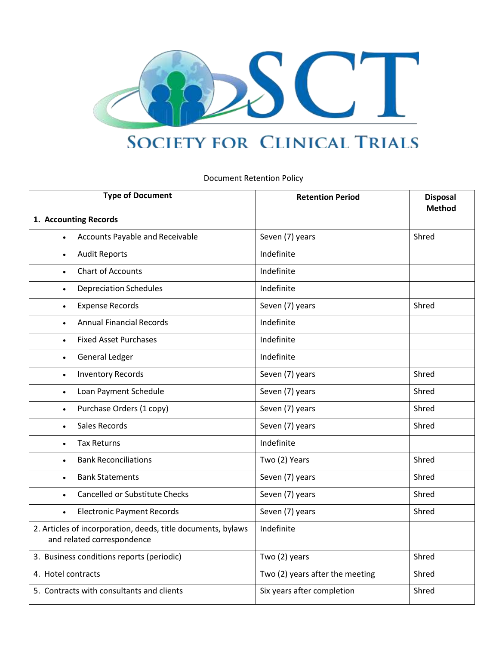

# **SOCIETY FOR CLINICAL TRIALS**

Document Retention Policy

| <b>Type of Document</b>                                                                    | <b>Retention Period</b>         | <b>Disposal</b><br><b>Method</b> |
|--------------------------------------------------------------------------------------------|---------------------------------|----------------------------------|
| 1. Accounting Records                                                                      |                                 |                                  |
| <b>Accounts Payable and Receivable</b>                                                     | Seven (7) years                 | Shred                            |
| <b>Audit Reports</b><br>$\bullet$                                                          | Indefinite                      |                                  |
| <b>Chart of Accounts</b><br>$\bullet$                                                      | Indefinite                      |                                  |
| <b>Depreciation Schedules</b><br>$\bullet$                                                 | Indefinite                      |                                  |
| <b>Expense Records</b><br>$\bullet$                                                        | Seven (7) years                 | Shred                            |
| <b>Annual Financial Records</b><br>$\bullet$                                               | Indefinite                      |                                  |
| <b>Fixed Asset Purchases</b><br>$\bullet$                                                  | Indefinite                      |                                  |
| <b>General Ledger</b><br>$\bullet$                                                         | Indefinite                      |                                  |
| <b>Inventory Records</b><br>$\bullet$                                                      | Seven (7) years                 | Shred                            |
| Loan Payment Schedule<br>$\bullet$                                                         | Seven (7) years                 | Shred                            |
| Purchase Orders (1 copy)<br>$\bullet$                                                      | Seven (7) years                 | Shred                            |
| Sales Records<br>$\bullet$                                                                 | Seven (7) years                 | Shred                            |
| <b>Tax Returns</b><br>$\bullet$                                                            | Indefinite                      |                                  |
| <b>Bank Reconciliations</b>                                                                | Two (2) Years                   | Shred                            |
| <b>Bank Statements</b><br>$\bullet$                                                        | Seven (7) years                 | Shred                            |
| <b>Cancelled or Substitute Checks</b><br>$\bullet$                                         | Seven (7) years                 | Shred                            |
| <b>Electronic Payment Records</b><br>$\bullet$                                             | Seven (7) years                 | Shred                            |
| 2. Articles of incorporation, deeds, title documents, bylaws<br>and related correspondence | Indefinite                      |                                  |
| 3. Business conditions reports (periodic)                                                  | Two (2) years                   | Shred                            |
| 4. Hotel contracts                                                                         | Two (2) years after the meeting | Shred                            |
| 5. Contracts with consultants and clients                                                  | Six years after completion      | Shred                            |